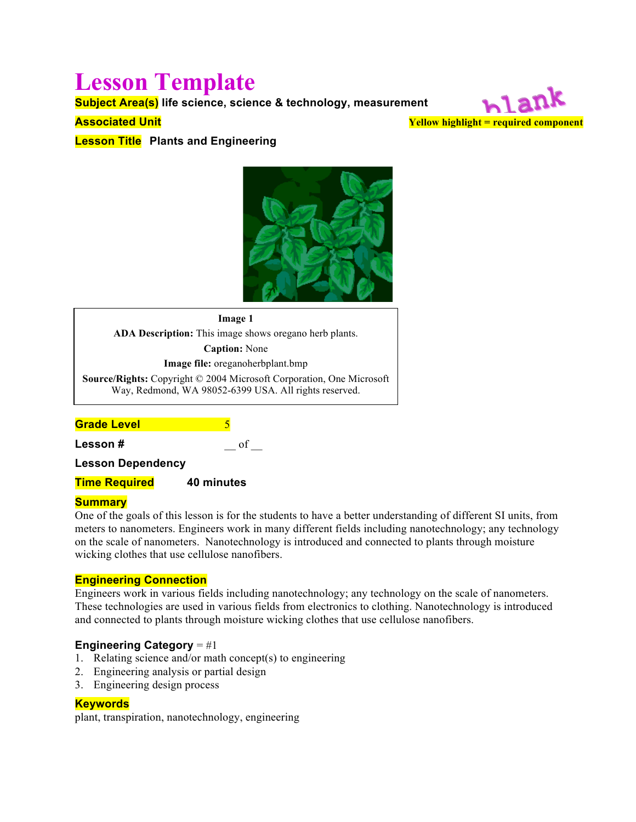# **Lesson Template**

**Subject Area(s) life science, science & technology, measurement**

## **Associated Unit**

hlank **Yellow highlight = required component**

**Lesson Title Plants and Engineering**



**Image 1 ADA Description:** This image shows oregano herb plants. **Caption:** None **Image file:** oreganoherbplant.bmp **Source/Rights:** Copyright © 2004 Microsoft Corporation, One Microsoft Way, Redmond, WA 98052-6399 USA. All rights reserved.

**Grade Level** 5

**Lesson #**  $\qquad \qquad \qquad$  of  $\qquad \qquad$ 

**Lesson Dependency**

**Time Required 40 minutes**

## **Summary**

One of the goals of this lesson is for the students to have a better understanding of different SI units, from meters to nanometers. Engineers work in many different fields including nanotechnology; any technology on the scale of nanometers. Nanotechnology is introduced and connected to plants through moisture wicking clothes that use cellulose nanofibers.

## **Engineering Connection**

Engineers work in various fields including nanotechnology; any technology on the scale of nanometers. These technologies are used in various fields from electronics to clothing. Nanotechnology is introduced and connected to plants through moisture wicking clothes that use cellulose nanofibers.

## **Engineering Category** = #1

- 1. Relating science and/or math concept(s) to engineering
- 2. Engineering analysis or partial design
- 3. Engineering design process

## **Keywords**

plant, transpiration, nanotechnology, engineering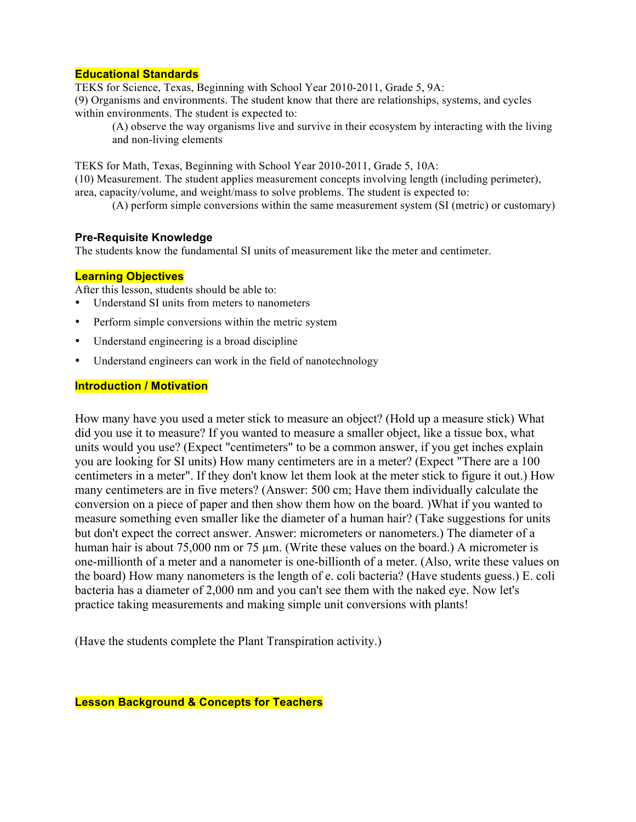## **Educational Standards**

TEKS for Science, Texas, Beginning with School Year 2010-2011, Grade 5, 9A: (9) Organisms and environments. The student know that there are relationships, systems, and cycles within environments. The student is expected to:

(A) observe the way organisms live and survive in their ecosystem by interacting with the living and non-living elements

TEKS for Math, Texas, Beginning with School Year 2010-2011, Grade 5, 10A:

(10) Measurement. The student applies measurement concepts involving length (including perimeter), area, capacity/volume, and weight/mass to solve problems. The student is expected to:

(A) perform simple conversions within the same measurement system (SI (metric) or customary)

#### **Pre-Requisite Knowledge**

The students know the fundamental SI units of measurement like the meter and centimeter.

## **Learning Objectives**

After this lesson, students should be able to:

- Understand SI units from meters to nanometers
- Perform simple conversions within the metric system
- Understand engineering is a broad discipline
- Understand engineers can work in the field of nanotechnology

## **Introduction / Motivation**

How many have you used a meter stick to measure an object? (Hold up a measure stick) What did you use it to measure? If you wanted to measure a smaller object, like a tissue box, what units would you use? (Expect "centimeters" to be a common answer, if you get inches explain you are looking for SI units) How many centimeters are in a meter? (Expect "There are a 100 centimeters in a meter". If they don't know let them look at the meter stick to figure it out.) How many centimeters are in five meters? (Answer: 500 cm; Have them individually calculate the conversion on a piece of paper and then show them how on the board. )What if you wanted to measure something even smaller like the diameter of a human hair? (Take suggestions for units but don't expect the correct answer. Answer: micrometers or nanometers.) The diameter of a human hair is about 75,000 nm or 75 µm. (Write these values on the board.) A micrometer is one-millionth of a meter and a nanometer is one-billionth of a meter. (Also, write these values on the board) How many nanometers is the length of e. coli bacteria? (Have students guess.) E. coli bacteria has a diameter of 2,000 nm and you can't see them with the naked eye. Now let's practice taking measurements and making simple unit conversions with plants!

(Have the students complete the Plant Transpiration activity.)

**Lesson Background & Concepts for Teachers**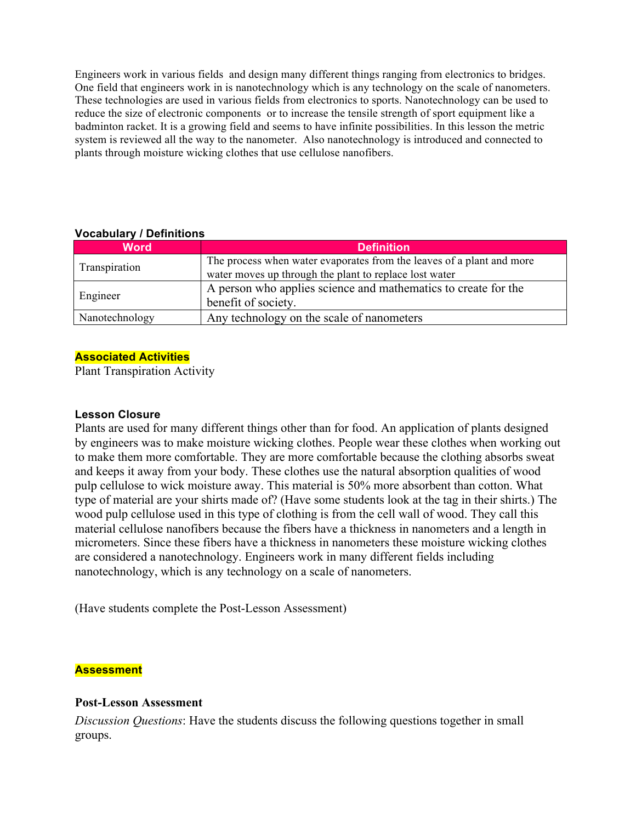Engineers work in various fields and design many different things ranging from electronics to bridges. One field that engineers work in is nanotechnology which is any technology on the scale of nanometers. These technologies are used in various fields from electronics to sports. Nanotechnology can be used to reduce the size of electronic components or to increase the tensile strength of sport equipment like a badminton racket. It is a growing field and seems to have infinite possibilities. In this lesson the metric system is reviewed all the way to the nanometer. Also nanotechnology is introduced and connected to plants through moisture wicking clothes that use cellulose nanofibers.

| <b>Word</b>    | <b>Definition</b>                                                     |
|----------------|-----------------------------------------------------------------------|
| Transpiration  | The process when water evaporates from the leaves of a plant and more |
|                | water moves up through the plant to replace lost water                |
| Engineer       | A person who applies science and mathematics to create for the        |
|                | benefit of society.                                                   |
| Nanotechnology | Any technology on the scale of nanometers                             |

## **Vocabulary / Definitions**

## **Associated Activities**

Plant Transpiration Activity

## **Lesson Closure**

Plants are used for many different things other than for food. An application of plants designed by engineers was to make moisture wicking clothes. People wear these clothes when working out to make them more comfortable. They are more comfortable because the clothing absorbs sweat and keeps it away from your body. These clothes use the natural absorption qualities of wood pulp cellulose to wick moisture away. This material is 50% more absorbent than cotton. What type of material are your shirts made of? (Have some students look at the tag in their shirts.) The wood pulp cellulose used in this type of clothing is from the cell wall of wood. They call this material cellulose nanofibers because the fibers have a thickness in nanometers and a length in micrometers. Since these fibers have a thickness in nanometers these moisture wicking clothes are considered a nanotechnology. Engineers work in many different fields including nanotechnology, which is any technology on a scale of nanometers.

(Have students complete the Post-Lesson Assessment)

## **Assessment**

## **Post-Lesson Assessment**

*Discussion Questions*: Have the students discuss the following questions together in small groups.